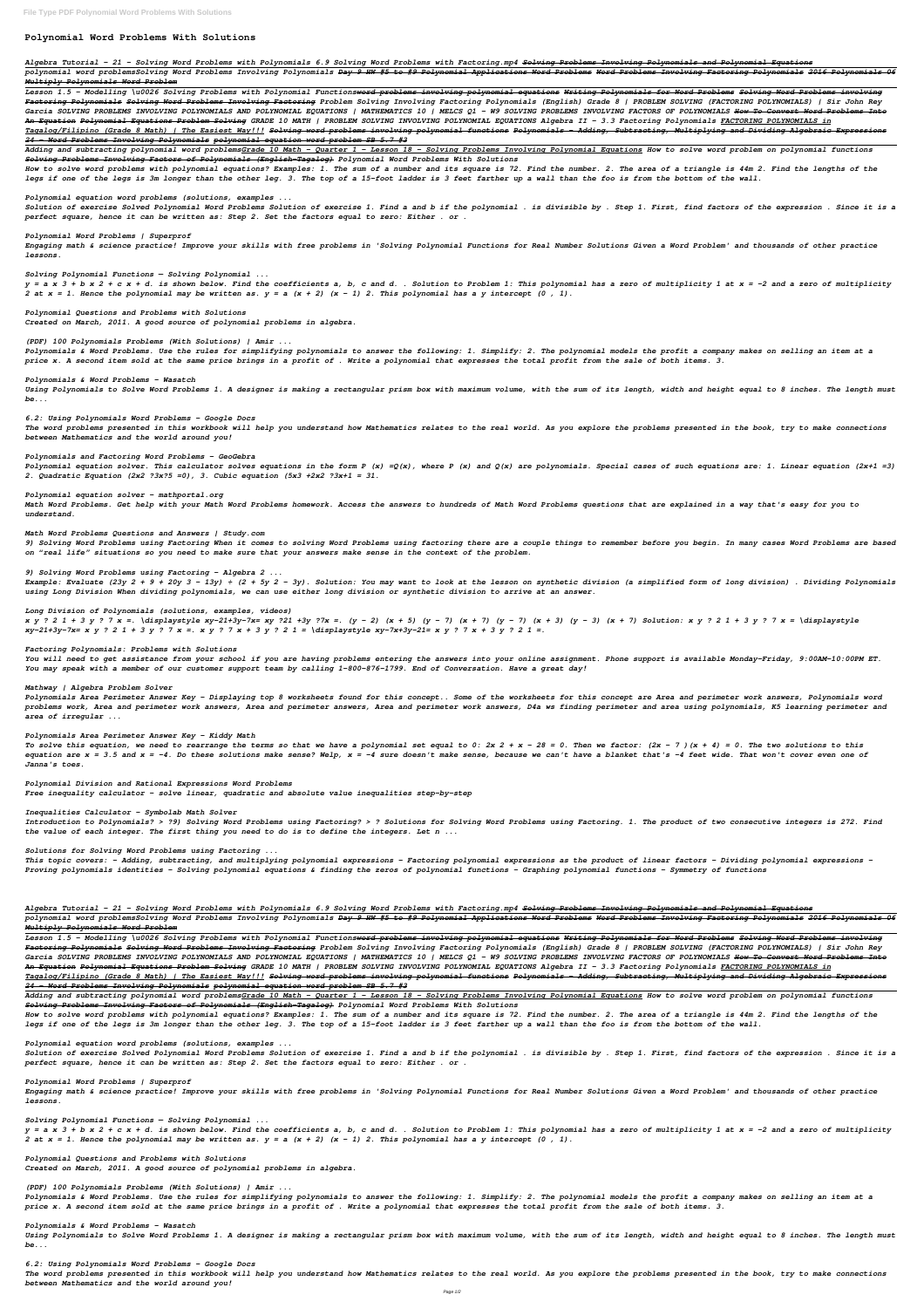# **Polynomial Word Problems With Solutions**

*Algebra Tutorial - 21 - Solving Word Problems with Polynomials 6.9 Solving Word Problems with Factoring.mp4 Solving Problems Involving Polynomials and Polynomial Equations*

*polynomial word problemsSolving Word Problems Involving Polynomials Day 9 HW #5 to #9 Polynomial Applications Word Problems Word Problems Involving Factoring Polynomials 2016 Polynomials 06 Multiply Polynomials Word Problem*

*Lesson 1.5 - Modelling \u0026 Solving Problems with Polynomial Functionsword problems involving polynomial equations Writing Polynomials for Word Problems Solving Word Problems involving Factoring Polynomials Solving Word Problems Involving Factoring Problem Solving Involving Factoring Polynomials (English) Grade 8 | PROBLEM SOLVING (FACTORING POLYNOMIALS) | Sir John Rey Garcia SOLVING PROBLEMS INVOLVING POLYNOMIALS AND POLYNOMIAL EQUATIONS | MATHEMATICS 10 | MELCS Q1 – W9 SOLVING PROBLEMS INVOLVING FACTORS OF POLYNOMIALS How To Convert Word Problems Into An Equation Polynomial Equations Problem Solving GRADE 10 MATH | PROBLEM SOLVING INVOLVING POLYNOMIAL EQUATIONS Algebra II - 3.3 Factoring Polynomials FACTORING POLYNOMIALS in Tagalog/Filipino (Grade 8 Math) | The Easiest Way!!! Solving word problems involving polynomial functions Polynomials - Adding, Subtracting, Multiplying and Dividing Algebraic Expressions 24 - Word Problems Involving Polynomials polynomial equation word problem SB 5.7 #3*

*Adding and subtracting polynomial word problemsGrade 10 Math - Quarter 1 - Lesson 18 - Solving Problems Involving Polynomial Equations How to solve word problem on polynomial functions Solving Problems Involving Factors of Polynomials (English-Tagalog) Polynomial Word Problems With Solutions*

*How to solve word problems with polynomial equations? Examples: 1. The sum of a number and its square is 72. Find the number. 2. The area of a triangle is 44m 2. Find the lengths of the legs if one of the legs is 3m longer than the other leg. 3. The top of a 15-foot ladder is 3 feet farther up a wall than the foo is from the bottom of the wall.*

*Polynomial equation word problems (solutions, examples ...*

*Solution of exercise Solved Polynomial Word Problems Solution of exercise 1. Find a and b if the polynomial . is divisible by . Step 1. First, find factors of the expression . Since it is a perfect square, hence it can be written as: Step 2. Set the factors equal to zero: Either . or .*

*Polynomial Word Problems | Superprof*

*Engaging math & science practice! Improve your skills with free problems in 'Solving Polynomial Functions for Real Number Solutions Given a Word Problem' and thousands of other practice lessons.*

*Solving Polynomial Functions — Solving Polynomial ...*

*y = a x 3 + b x 2 + c x + d. is shown below. Find the coefficients a, b, c and d. . Solution to Problem 1: This polynomial has a zero of multiplicity 1 at x = -2 and a zero of multiplicity 2 at x = 1. Hence the polynomial may be written as. y = a (x + 2) (x - 1) 2. This polynomial has a y intercept (0 , 1).*

*Polynomial Questions and Problems with Solutions Created on March, 2011. A good source of polynomial problems in algebra.*

*(PDF) 100 Polynomials Problems (With Solutions) | Amir ...*

*Polynomials & Word Problems. Use the rules for simplifying polynomials to answer the following: 1. Simplify: 2. The polynomial models the profit a company makes on selling an item at a price x. A second item sold at the same price brings in a profit of . Write a polynomial that expresses the total profit from the sale of both items. 3.*

*Polynomials & Word Problems - Wasatch*

*Using Polynomials to Solve Word Problems 1. A designer is making a rectangular prism box with maximum volume, with the sum of its length, width and height equal to 8 inches. The length must be...*

*6.2: Using Polynomials Word Problems - Google Docs*

*The word problems presented in this workbook will help you understand how Mathematics relates to the real world. As you explore the problems presented in the book, try to make connections between Mathematics and the world around you!*

*Polynomials and Factoring Word Problems – GeoGebra*

*Polynomial equation solver. This calculator solves equations in the form P (x) =Q(x), where P (x) and Q(x) are polynomials. Special cases of such equations are: 1. Linear equation (2x+1 =3) 2. Quadratic Equation (2x2 ?3x?5 =0), 3. Cubic equation (5x3 +2x2 ?3x+1 = 31.*

#### *Polynomial equation solver - mathportal.org*

*Math Word Problems. Get help with your Math Word Problems homework. Access the answers to hundreds of Math Word Problems questions that are explained in a way that's easy for you to understand.*

#### *Math Word Problems Questions and Answers | Study.com*

*9) Solving Word Problems using Factoring When it comes to solving Word Problems using factoring there are a couple things to remember before you begin. In many cases Word Problems are based on "real life" situations so you need to make sure that your answers make sense in the context of the problem.*

#### *9) Solving Word Problems using Factoring - Algebra 2 ...*

*Example: Evaluate (23y 2 + 9 + 20y 3 – 13y) ÷ (2 + 5y 2 – 3y). Solution: You may want to look at the lesson on synthetic division (a simplified form of long division) . Dividing Polynomials using Long Division When dividing polynomials, we can use either long division or synthetic division to arrive at an answer.*

*y = a x 3 + b x 2 + c x + d. is shown below. Find the coefficients a, b, c and d. . Solution to Problem 1: This polynomial has a zero of multiplicity 1 at x = -2 and a zero of multiplicity* 2 at  $x = 1$ . Hence the polynomial may be written as.  $y = a$   $(x + 2)$   $(x - 1)$  2. This polynomial has a y intercept  $(0, 1)$ .

#### *Long Division of Polynomials (solutions, examples, videos)*

*x y ? 2 1 + 3 y ? 7 x =. \displaystyle xy-21+3y-7x= xy ?21 +3y ?7x =. (y - 2) (x + 5) (y - 7) (x + 7) (y - 7) (x + 3) (y - 3) (x + 7) Solution: x y ? 2 1 + 3 y ? 7 x = \displaystyle xy-21+3y-7x= x y ? 2 1 + 3 y ? 7 x =. x y ? 7 x + 3 y ? 2 1 = \displaystyle xy-7x+3y-21= x y ? 7 x + 3 y ? 2 1 =.*

#### *Factoring Polynomials: Problems with Solutions*

*You will need to get assistance from your school if you are having problems entering the answers into your online assignment. Phone support is available Monday-Friday, 9:00AM-10:00PM ET. You may speak with a member of our customer support team by calling 1-800-876-1799. End of Conversation. Have a great day!*

#### *Mathway | Algebra Problem Solver*

*Polynomials Area Perimeter Answer Key - Displaying top 8 worksheets found for this concept.. Some of the worksheets for this concept are Area and perimeter work answers, Polynomials word problems work, Area and perimeter work answers, Area and perimeter answers, Area and perimeter work answers, D4a ws finding perimeter and area using polynomials, K5 learning perimeter and area of irregular ...*

#### *Polynomials Area Perimeter Answer Key - Kiddy Math*

*To solve this equation, we need to rearrange the terms so that we have a polynomial set equal to 0: 2x 2 + x – 28 = 0. Then we factor: (2x – 7 )(x + 4) = 0. The two solutions to this equation are x = 3.5 and x = -4. Do these solutions make sense? Welp, x = -4 sure doesn't make sense, because we can't have a blanket that's -4 feet wide. That won't cover even one of Janna's toes.*

*Polynomial Division and Rational Expressions Word Problems Free inequality calculator - solve linear, quadratic and absolute value inequalities step-by-step*

#### *Inequalities Calculator - Symbolab Math Solver*

*Introduction to Polynomials? > ?9) Solving Word Problems using Factoring? > ? Solutions for Solving Word Problems using Factoring. 1. The product of two consecutive integers is 272. Find the value of each integer. The first thing you need to do is to define the integers. Let n ...*

*Solutions for Solving Word Problems using Factoring ...*

*This topic covers: - Adding, subtracting, and multiplying polynomial expressions - Factoring polynomial expressions as the product of linear factors - Dividing polynomial expressions - Proving polynomials identities - Solving polynomial equations & finding the zeros of polynomial functions - Graphing polynomial functions - Symmetry of functions*

### *Algebra Tutorial - 21 - Solving Word Problems with Polynomials 6.9 Solving Word Problems with Factoring.mp4 Solving Problems Involving Polynomials and Polynomial Equations*

*polynomial word problemsSolving Word Problems Involving Polynomials Day 9 HW #5 to #9 Polynomial Applications Word Problems Word Problems Involving Factoring Polynomials 2016 Polynomials 06 Multiply Polynomials Word Problem*

*Lesson 1.5 - Modelling \u0026 Solving Problems with Polynomial Functionsword problems involving polynomial equations Writing Polynomials for Word Problems Solving Word Problems involving Factoring Polynomials Solving Word Problems Involving Factoring Problem Solving Involving Factoring Polynomials (English) Grade 8 | PROBLEM SOLVING (FACTORING POLYNOMIALS) | Sir John Rey Garcia SOLVING PROBLEMS INVOLVING POLYNOMIALS AND POLYNOMIAL EQUATIONS | MATHEMATICS 10 | MELCS Q1 – W9 SOLVING PROBLEMS INVOLVING FACTORS OF POLYNOMIALS How To Convert Word Problems Into An Equation Polynomial Equations Problem Solving GRADE 10 MATH | PROBLEM SOLVING INVOLVING POLYNOMIAL EQUATIONS Algebra II - 3.3 Factoring Polynomials FACTORING POLYNOMIALS in Tagalog/Filipino (Grade 8 Math) | The Easiest Way!!! Solving word problems involving polynomial functions Polynomials - Adding, Subtracting, Multiplying and Dividing Algebraic Expressions 24 - Word Problems Involving Polynomials polynomial equation word problem SB 5.7 #3*

*Adding and subtracting polynomial word problemsGrade 10 Math - Quarter 1 - Lesson 18 - Solving Problems Involving Polynomial Equations How to solve word problem on polynomial functions Solving Problems Involving Factors of Polynomials (English-Tagalog) Polynomial Word Problems With Solutions*

*How to solve word problems with polynomial equations? Examples: 1. The sum of a number and its square is 72. Find the number. 2. The area of a triangle is 44m 2. Find the lengths of the legs if one of the legs is 3m longer than the other leg. 3. The top of a 15-foot ladder is 3 feet farther up a wall than the foo is from the bottom of the wall.*

*Polynomial equation word problems (solutions, examples ...*

*Solution of exercise Solved Polynomial Word Problems Solution of exercise 1. Find a and b if the polynomial . is divisible by . Step 1. First, find factors of the expression . Since it is a perfect square, hence it can be written as: Step 2. Set the factors equal to zero: Either . or .*

#### *Polynomial Word Problems | Superprof*

*Engaging math & science practice! Improve your skills with free problems in 'Solving Polynomial Functions for Real Number Solutions Given a Word Problem' and thousands of other practice lessons.*

*Solving Polynomial Functions — Solving Polynomial ...*

*Polynomial Questions and Problems with Solutions*

*Created on March, 2011. A good source of polynomial problems in algebra.*

*(PDF) 100 Polynomials Problems (With Solutions) | Amir ...*

*Polynomials & Word Problems. Use the rules for simplifying polynomials to answer the following: 1. Simplify: 2. The polynomial models the profit a company makes on selling an item at a price x. A second item sold at the same price brings in a profit of . Write a polynomial that expresses the total profit from the sale of both items. 3.*

*Polynomials & Word Problems - Wasatch*

*Using Polynomials to Solve Word Problems 1. A designer is making a rectangular prism box with maximum volume, with the sum of its length, width and height equal to 8 inches. The length must be...*

# *6.2: Using Polynomials Word Problems - Google Docs*

*The word problems presented in this workbook will help you understand how Mathematics relates to the real world. As you explore the problems presented in the book, try to make connections between Mathematics and the world around you!*